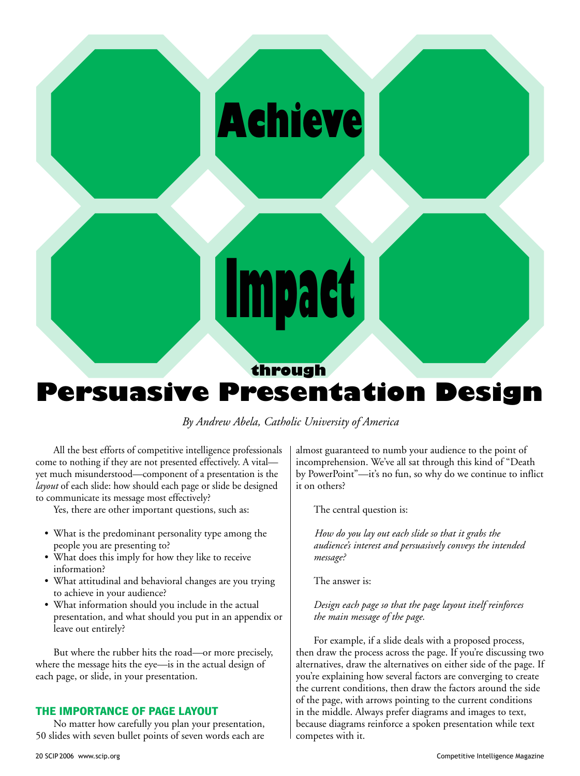# **Achieve**

# **through Persuasive Presentation Design**

**Impact**

# *By Andrew Abela, Catholic University of America*

All the best efforts of competitive intelligence professionals come to nothing if they are not presented effectively. A vital yet much misunderstood—component of a presentation is the *layout* of each slide: how should each page or slide be designed to communicate its message most effectively?

Yes, there are other important questions, such as:

- What is the predominant personality type among the people you are presenting to?
- What does this imply for how they like to receive information?
- What attitudinal and behavioral changes are you trying to achieve in your audience?
- What information should you include in the actual presentation, and what should you put in an appendix or leave out entirely?

But where the rubber hits the road—or more precisely, where the message hits the eye—is in the actual design of each page, or slide, in your presentation.

### **The Importance of Page Layout**

No matter how carefully you plan your presentation, 50 slides with seven bullet points of seven words each are almost guaranteed to numb your audience to the point of incomprehension. We've all sat through this kind of "Death by PowerPoint"—it's no fun, so why do we continue to inflict it on others?

The central question is:

*How do you lay out each slide so that it grabs the audience's interest and persuasively conveys the intended message?* 

The answer is:

#### *Design each page so that the page layout itself reinforces the main message of the page.*

For example, if a slide deals with a proposed process, then draw the process across the page. If you're discussing two alternatives, draw the alternatives on either side of the page. If you're explaining how several factors are converging to create the current conditions, then draw the factors around the side of the page, with arrows pointing to the current conditions in the middle. Always prefer diagrams and images to text, because diagrams reinforce a spoken presentation while text competes with it.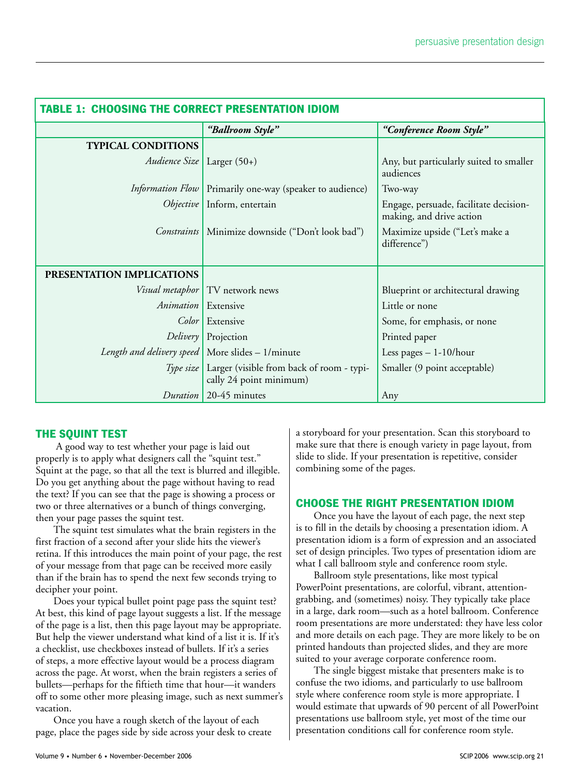| <b>TABLE 1: CHOOSING THE CORRECT PRESENTATION IDIOM</b> |                                                                                  |                                                                    |
|---------------------------------------------------------|----------------------------------------------------------------------------------|--------------------------------------------------------------------|
|                                                         | "Ballroom Style"                                                                 | "Conference Room Style"                                            |
| <b>TYPICAL CONDITIONS</b>                               |                                                                                  |                                                                    |
| Audience Size                                           | Larger $(50+)$                                                                   | Any, but particularly suited to smaller<br>audiences               |
| <i>Information Flow</i>                                 | Primarily one-way (speaker to audience)                                          | Two-way                                                            |
| <i>Objective</i>                                        | Inform, entertain                                                                | Engage, persuade, facilitate decision-<br>making, and drive action |
| Constraints                                             | Minimize downside ("Don't look bad")                                             | Maximize upside ("Let's make a<br>difference")                     |
| PRESENTATION IMPLICATIONS                               |                                                                                  |                                                                    |
|                                                         | <i>Visual metaphor</i>   TV network news                                         | Blueprint or architectural drawing                                 |
| Animation   Extensive                                   |                                                                                  | Little or none                                                     |
| Color                                                   | Extensive                                                                        | Some, for emphasis, or none                                        |
| Delivery                                                | Projection                                                                       | Printed paper                                                      |
| Length and delivery speed   More slides $-1/m$ inute    |                                                                                  | Less pages $-1-10/h$ our                                           |
|                                                         | Type size   Larger (visible from back of room - typi-<br>cally 24 point minimum) | Smaller (9 point acceptable)                                       |
| Duration                                                | 20-45 minutes                                                                    | Any                                                                |

# **THE SQUINT TEST**

 A good way to test whether your page is laid out properly is to apply what designers call the "squint test." Squint at the page, so that all the text is blurred and illegible. Do you get anything about the page without having to read the text? If you can see that the page is showing a process or two or three alternatives or a bunch of things converging, then your page passes the squint test.

The squint test simulates what the brain registers in the first fraction of a second after your slide hits the viewer's retina. If this introduces the main point of your page, the rest of your message from that page can be received more easily than if the brain has to spend the next few seconds trying to decipher your point.

Does your typical bullet point page pass the squint test? At best, this kind of page layout suggests a list. If the message of the page is a list, then this page layout may be appropriate. But help the viewer understand what kind of a list it is. If it's a checklist, use checkboxes instead of bullets. If it's a series of steps, a more effective layout would be a process diagram across the page. At worst, when the brain registers a series of bullets—perhaps for the fiftieth time that hour—it wanders off to some other more pleasing image, such as next summer's vacation.

Once you have a rough sketch of the layout of each page, place the pages side by side across your desk to create a storyboard for your presentation. Scan this storyboard to make sure that there is enough variety in page layout, from slide to slide. If your presentation is repetitive, consider combining some of the pages.

# **CHOOSE THE RIGHT PRESENTATION IDIOM**

Once you have the layout of each page, the next step is to fill in the details by choosing a presentation idiom. A presentation idiom is a form of expression and an associated set of design principles. Two types of presentation idiom are what I call ballroom style and conference room style.

Ballroom style presentations, like most typical PowerPoint presentations, are colorful, vibrant, attentiongrabbing, and (sometimes) noisy. They typically take place in a large, dark room—such as a hotel ballroom. Conference room presentations are more understated: they have less color and more details on each page. They are more likely to be on printed handouts than projected slides, and they are more suited to your average corporate conference room.

The single biggest mistake that presenters make is to confuse the two idioms, and particularly to use ballroom style where conference room style is more appropriate. I would estimate that upwards of 90 percent of all PowerPoint presentations use ballroom style, yet most of the time our presentation conditions call for conference room style.